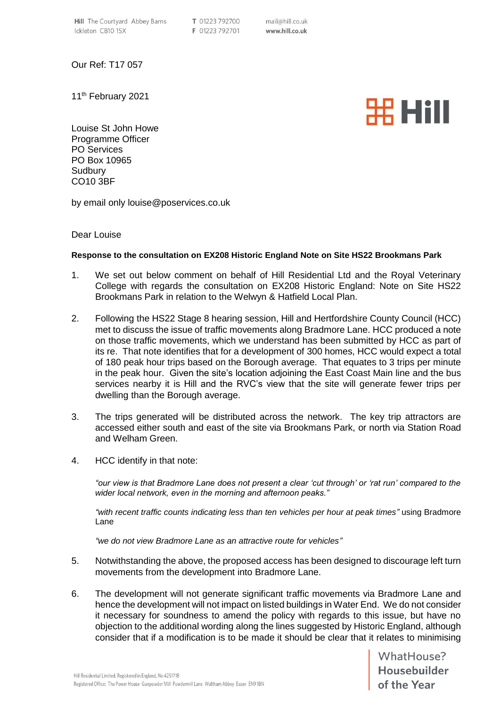Our Ref: T17 057

11<sup>th</sup> February 2021



Louise St John Howe Programme Officer PO Services PO Box 10965 **Sudbury** CO10 3BF

by email only louise@poservices.co.uk

## Dear Louise

## **Response to the consultation on EX208 Historic England Note on Site HS22 Brookmans Park**

- 1. We set out below comment on behalf of Hill Residential Ltd and the Royal Veterinary College with regards the consultation on EX208 Historic England: Note on Site HS22 Brookmans Park in relation to the Welwyn & Hatfield Local Plan.
- 2. Following the HS22 Stage 8 hearing session, Hill and Hertfordshire County Council (HCC) met to discuss the issue of traffic movements along Bradmore Lane. HCC produced a note on those traffic movements, which we understand has been submitted by HCC as part of its re. That note identifies that for a development of 300 homes, HCC would expect a total of 180 peak hour trips based on the Borough average. That equates to 3 trips per minute in the peak hour. Given the site's location adjoining the East Coast Main line and the bus services nearby it is Hill and the RVC's view that the site will generate fewer trips per dwelling than the Borough average.
- 3. The trips generated will be distributed across the network. The key trip attractors are accessed either south and east of the site via Brookmans Park, or north via Station Road and Welham Green.
- 4. HCC identify in that note:

*"our view is that Bradmore Lane does not present a clear 'cut through' or 'rat run' compared to the wider local network, even in the morning and afternoon peaks."*

*"with recent traffic counts indicating less than ten vehicles per hour at peak times"* using Bradmore Lane

*"we do not view Bradmore Lane as an attractive route for vehicles"*

- 5. Notwithstanding the above, the proposed access has been designed to discourage left turn movements from the development into Bradmore Lane.
- 6. The development will not generate significant traffic movements via Bradmore Lane and hence the development will not impact on listed buildings in Water End. We do not consider it necessary for soundness to amend the policy with regards to this issue, but have no objection to the additional wording along the lines suggested by Historic England, although consider that if a modification is to be made it should be clear that it relates to minimising